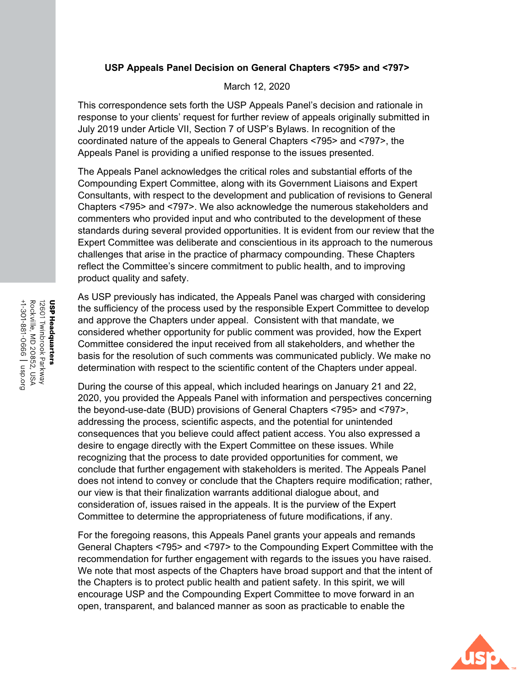## **USP Appeals Panel Decision on General Chapters <795> and <797>**

March 12, 2020

This correspondence sets forth the USP Appeals Panel's decision and rationale in response to your clients' request for further review of appeals originally submitted in July 2019 under Article VII, Section 7 of USP's Bylaws. In recognition of the coordinated nature of the appeals to General Chapters <795> and <797>, the Appeals Panel is providing a unified response to the issues presented.

The Appeals Panel acknowledges the critical roles and substantial efforts of the Compounding Expert Committee, along with its Government Liaisons and Expert Consultants, with respect to the development and publication of revisions to General Chapters <795> and <797>. We also acknowledge the numerous stakeholders and commenters who provided input and who contributed to the development of these standards during several provided opportunities. It is evident from our review that the Expert Committee was deliberate and conscientious in its approach to the numerous challenges that arise in the practice of pharmacy compounding. These Chapters reflect the Committee's sincere commitment to public health, and to improving product quality and safety.

As USP previously has indicated, the Appeals Panel was charged with considering the sufficiency of the process used by the responsible Expert Committee to develop and approve the Chapters under appeal. Consistent with that mandate, we considered whether opportunity for public comment was provided, how the Expert Committee considered the input received from all stakeholders, and whether the basis for the resolution of such comments was communicated publicly. We make no determination with respect to the scientific content of the Chapters under appeal.

During the course of this appeal, which included hearings on January 21 and 22, 2020, you provided the Appeals Panel with information and perspectives concerning the beyond-use-date (BUD) provisions of General Chapters <795> and <797>, addressing the process, scientific aspects, and the potential for unintended consequences that you believe could affect patient access. You also expressed a desire to engage directly with the Expert Committee on these issues. While recognizing that the process to date provided opportunities for comment, we conclude that further engagement with stakeholders is merited. The Appeals Panel does not intend to convey or conclude that the Chapters require modification; rather, our view is that their finalization warrants additional dialogue about, and consideration of, issues raised in the appeals. It is the purview of the Expert Committee to determine the appropriateness of future modifications, if any.

For the foregoing reasons, this Appeals Panel grants your appeals and remands General Chapters <795> and <797> to the Compounding Expert Committee with the recommendation for further engagement with regards to the issues you have raised. We note that most aspects of the Chapters have broad support and that the intent of the Chapters is to protect public health and patient safety. In this spirit, we will encourage USP and the Compounding Expert Committee to move forward in an open, transparent, and balanced manner as soon as practicable to enable the